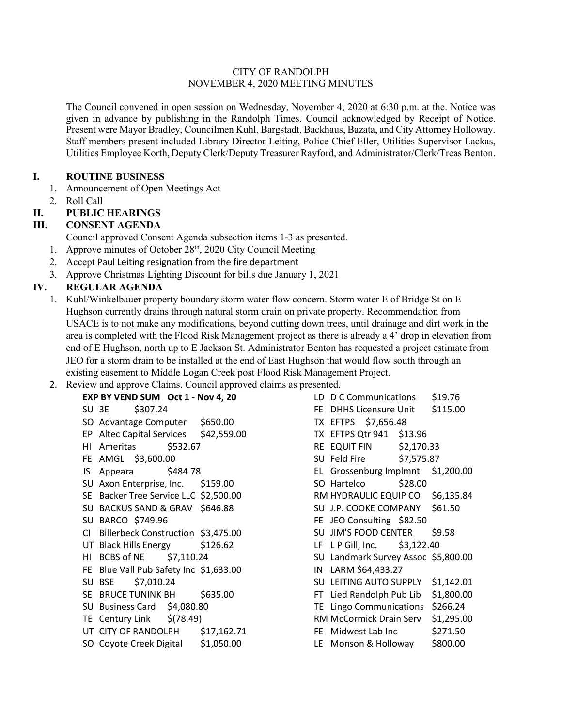### CITY OF RANDOLPH NOVEMBER 4, 2020 MEETING MINUTES

The Council convened in open session on Wednesday, November 4, 2020 at 6:30 p.m. at the. Notice was given in advance by publishing in the Randolph Times. Council acknowledged by Receipt of Notice. Present were Mayor Bradley, Councilmen Kuhl, Bargstadt, Backhaus, Bazata, and City Attorney Holloway. Staff members present included Library Director Leiting, Police Chief Eller, Utilities Supervisor Lackas, Utilities Employee Korth, Deputy Clerk/Deputy Treasurer Rayford, and Administrator/Clerk/Treas Benton.

### **I. ROUTINE BUSINESS**

- 1. Announcement of Open Meetings Act
- 2. Roll Call

# **II. PUBLIC HEARINGS**

# **III. CONSENT AGENDA**

Council approved Consent Agenda subsection items 1-3 as presented.

- 1. Approve minutes of October  $28<sup>th</sup>$ , 2020 City Council Meeting
- 2. Accept Paul Leiting resignation from the fire department
- 3. Approve Christmas Lighting Discount for bills due January 1, 2021

# **IV. REGULAR AGENDA**

- 1. Kuhl/Winkelbauer property boundary storm water flow concern. Storm water E of Bridge St on E Hughson currently drains through natural storm drain on private property. Recommendation from USACE is to not make any modifications, beyond cutting down trees, until drainage and dirt work in the area is completed with the Flood Risk Management project as there is already a 4' drop in elevation from end of E Hughson, north up to E Jackson St. Administrator Benton has requested a project estimate from JEO for a storm drain to be installed at the end of East Hughson that would flow south through an existing easement to Middle Logan Creek post Flood Risk Management Project.
- 2. Review and approve Claims. Council approved claims as presented.

| EXP BY VEND SUM Oct 1 - Nov 4, 20      |                                     |  | LD D C Communications \$19.76       |         |            |
|----------------------------------------|-------------------------------------|--|-------------------------------------|---------|------------|
| \$307.24<br>SU 3E                      |                                     |  | FE DHHS Licensure Unit \$115.00     |         |            |
| SO Advantage Computer \$650.00         |                                     |  | TX EFTPS \$7,656.48                 |         |            |
| EP Altec Capital Services \$42,559.00  |                                     |  | TX EFTPS Qtr 941 \$13.96            |         |            |
| HI Ameritas                            | \$532.67<br>RE EQUIT FIN \$2,170.33 |  |                                     |         |            |
| FE AMGL \$3,600.00                     |                                     |  | SU Feld Fire \$7,575.87             |         |            |
| JS Appeara \$484.78                    |                                     |  | EL Grossenburg Implmnt \$1,200.00   |         |            |
| SU Axon Enterprise, Inc. \$159.00      |                                     |  | SO Hartelco                         | \$28.00 |            |
| SE Backer Tree Service LLC \$2,500.00  |                                     |  | RM HYDRAULIC EQUIP CO \$6,135.84    |         |            |
| SU BACKUS SAND & GRAV \$646.88         |                                     |  | SU J.P. COOKE COMPANY \$61.50       |         |            |
| SU BARCO \$749.96                      |                                     |  | FE JEO Consulting \$82.50           |         |            |
| CI Billerbeck Construction \$3,475.00  |                                     |  | SU JIM'S FOOD CENTER \$9.58         |         |            |
| UT Black Hills Energy \$126.62         |                                     |  | LF L P Gill, Inc. \$3,122.40        |         |            |
| HI BCBS of NE \$7,110.24               |                                     |  | SU Landmark Survey Assoc \$5,800.00 |         |            |
| FE Blue Vall Pub Safety Inc \$1,633.00 |                                     |  | IN LARM \$64,433.27                 |         |            |
| \$7,010.24<br>SU BSE                   |                                     |  | SU LEITING AUTO SUPPLY \$1,142.01   |         |            |
| SE BRUCE TUNINK BH \$635.00            |                                     |  | FT Lied Randolph Pub Lib            |         | \$1,800.00 |
| SU Business Card \$4,080.80            |                                     |  | TE Lingo Communications \$266.24    |         |            |
| TE Century Link $\frac{1}{2}$ (78.49)  |                                     |  | RM McCormick Drain Serv             |         | \$1,295.00 |
| UT CITY OF RANDOLPH                    | \$17,162.71                         |  | FE Midwest Lab Inc                  |         | \$271.50   |
| SO Coyote Creek Digital \$1,050.00     |                                     |  | LE Monson & Holloway                |         | \$800.00   |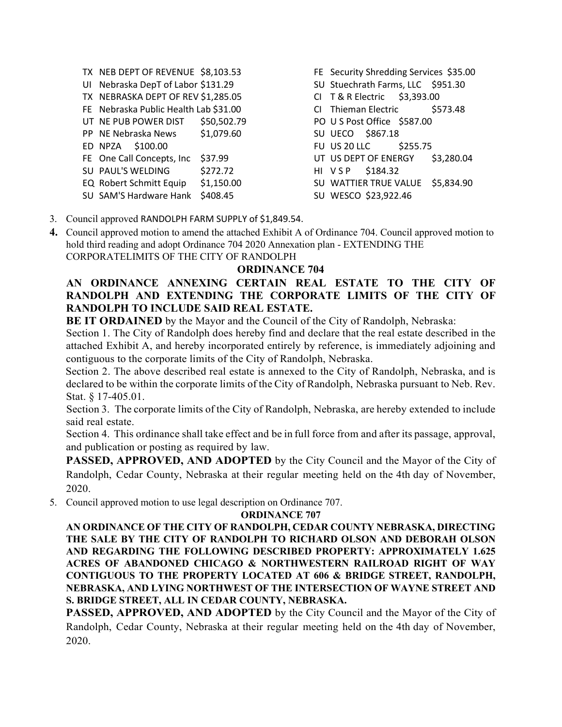- TX NEB DEPT OF REVENUE \$8,103.53 UI Nebraska DepT of Labor \$131.29 TX NEBRASKA DEPT OF REV \$1,285.05 FE Nebraska Public Health Lab \$31.00 UT NE PUB POWER DIST \$50,502.79 PP NE Nebraska News \$1,079.60 ED NPZA \$100.00 FE One Call Concepts, Inc \$37.99 SU PAUL'S WELDING \$272.72 EQ Robert Schmitt Equip \$1,150.00 SU SAM'S Hardware Hank \$408.45
- FE Security Shredding Services \$35.00 SU Stuechrath Farms, LLC \$951.30 CI T & R Electric \$3,393.00 CI Thieman Electric \$573.48 PO U S Post Office \$587.00 SU UECO \$867.18 FU US 20 LLC \$255.75 UT US DEPT OF ENERGY \$3,280.04 HI V S P \$184.32 SU WATTIER TRUE VALUE \$5,834.90 SU WESCO \$23,922.46
- 3. Council approved RANDOLPH FARM SUPPLY of \$1,849.54.
- **4.** Council approved motion to amend the attached Exhibit A of Ordinance 704. Council approved motion to hold third reading and adopt Ordinance 704 2020 Annexation plan - EXTENDING THE CORPORATELIMITS OF THE CITY OF RANDOLPH

# **ORDINANCE 704**

# **AN ORDINANCE ANNEXING CERTAIN REAL ESTATE TO THE CITY OF RANDOLPH AND EXTENDING THE CORPORATE LIMITS OF THE CITY OF RANDOLPH TO INCLUDE SAID REAL ESTATE.**

**BE IT ORDAINED** by the Mayor and the Council of the City of Randolph, Nebraska:

Section 1. The City of Randolph does hereby find and declare that the real estate described in the attached Exhibit A, and hereby incorporated entirely by reference, is immediately adjoining and contiguous to the corporate limits of the City of Randolph, Nebraska.

Section 2. The above described real estate is annexed to the City of Randolph, Nebraska, and is declared to be within the corporate limits of the City of Randolph, Nebraska pursuant to Neb. Rev. Stat. § 17-405.01.

Section 3. The corporate limits of the City of Randolph, Nebraska, are hereby extended to include said real estate.

Section 4. This ordinance shall take effect and be in full force from and after its passage, approval, and publication or posting as required by law.

**PASSED, APPROVED, AND ADOPTED** by the City Council and the Mayor of the City of Randolph, Cedar County, Nebraska at their regular meeting held on the 4th day of November, 2020.

5. Council approved motion to use legal description on Ordinance 707.

#### **ORDINANCE 707**

**AN ORDINANCE OF THE CITY OF RANDOLPH, CEDAR COUNTY NEBRASKA, DIRECTING THE SALE BY THE CITY OF RANDOLPH TO RICHARD OLSON AND DEBORAH OLSON AND REGARDING THE FOLLOWING DESCRIBED PROPERTY: APPROXIMATELY 1.625 ACRES OF ABANDONED CHICAGO & NORTHWESTERN RAILROAD RIGHT OF WAY CONTIGUOUS TO THE PROPERTY LOCATED AT 606 & BRIDGE STREET, RANDOLPH, NEBRASKA, AND LYING NORTHWEST OF THE INTERSECTION OF WAYNE STREET AND S. BRIDGE STREET, ALL IN CEDAR COUNTY, NEBRASKA.**

**PASSED, APPROVED, AND ADOPTED** by the City Council and the Mayor of the City of Randolph, Cedar County, Nebraska at their regular meeting held on the 4th day of November, 2020.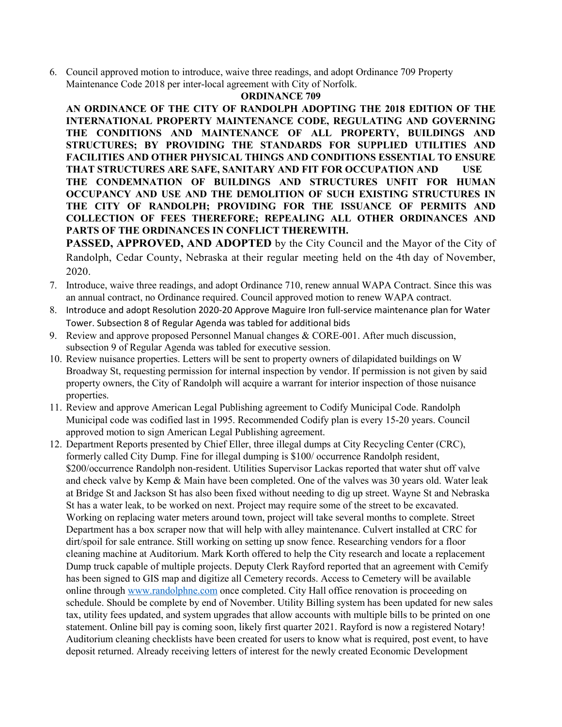6. Council approved motion to introduce, waive three readings, and adopt Ordinance 709 Property Maintenance Code 2018 per inter-local agreement with City of Norfolk.

## **ORDINANCE 709**

**AN ORDINANCE OF THE CITY OF RANDOLPH ADOPTING THE 2018 EDITION OF THE INTERNATIONAL PROPERTY MAINTENANCE CODE, REGULATING AND GOVERNING THE CONDITIONS AND MAINTENANCE OF ALL PROPERTY, BUILDINGS AND STRUCTURES; BY PROVIDING THE STANDARDS FOR SUPPLIED UTILITIES AND FACILITIES AND OTHER PHYSICAL THINGS AND CONDITIONS ESSENTIAL TO ENSURE THAT STRUCTURES ARE SAFE, SANITARY AND FIT FOR OCCUPATION AND USE THE CONDEMNATION OF BUILDINGS AND STRUCTURES UNFIT FOR HUMAN OCCUPANCY AND USE AND THE DEMOLITION OF SUCH EXISTING STRUCTURES IN THE CITY OF RANDOLPH; PROVIDING FOR THE ISSUANCE OF PERMITS AND COLLECTION OF FEES THEREFORE; REPEALING ALL OTHER ORDINANCES AND PARTS OF THE ORDINANCES IN CONFLICT THEREWITH.**

**PASSED, APPROVED, AND ADOPTED** by the City Council and the Mayor of the City of Randolph, Cedar County, Nebraska at their regular meeting held on the 4th day of November, 2020.

- 7. Introduce, waive three readings, and adopt Ordinance 710, renew annual WAPA Contract. Since this was an annual contract, no Ordinance required. Council approved motion to renew WAPA contract.
- 8. Introduce and adopt Resolution 2020-20 Approve Maguire Iron full-service maintenance plan for Water Tower. Subsection 8 of Regular Agenda was tabled for additional bids
- 9. Review and approve proposed Personnel Manual changes & CORE-001. After much discussion, subsection 9 of Regular Agenda was tabled for executive session.
- 10. Review nuisance properties. Letters will be sent to property owners of dilapidated buildings on W Broadway St, requesting permission for internal inspection by vendor. If permission is not given by said property owners, the City of Randolph will acquire a warrant for interior inspection of those nuisance properties.
- 11. Review and approve American Legal Publishing agreement to Codify Municipal Code. Randolph Municipal code was codified last in 1995. Recommended Codify plan is every 15-20 years. Council approved motion to sign American Legal Publishing agreement.
- 12. Department Reports presented by Chief Eller, three illegal dumps at City Recycling Center (CRC), formerly called City Dump. Fine for illegal dumping is \$100/ occurrence Randolph resident, \$200/occurrence Randolph non-resident. Utilities Supervisor Lackas reported that water shut off valve and check valve by Kemp & Main have been completed. One of the valves was 30 years old. Water leak at Bridge St and Jackson St has also been fixed without needing to dig up street. Wayne St and Nebraska St has a water leak, to be worked on next. Project may require some of the street to be excavated. Working on replacing water meters around town, project will take several months to complete. Street Department has a box scraper now that will help with alley maintenance. Culvert installed at CRC for dirt/spoil for sale entrance. Still working on setting up snow fence. Researching vendors for a floor cleaning machine at Auditorium. Mark Korth offered to help the City research and locate a replacement Dump truck capable of multiple projects. Deputy Clerk Rayford reported that an agreement with Cemify has been signed to GIS map and digitize all Cemetery records. Access to Cemetery will be available online through [www.randolphne.com](http://www.randolphne.com/) once completed. City Hall office renovation is proceeding on schedule. Should be complete by end of November. Utility Billing system has been updated for new sales tax, utility fees updated, and system upgrades that allow accounts with multiple bills to be printed on one statement. Online bill pay is coming soon, likely first quarter 2021. Rayford is now a registered Notary! Auditorium cleaning checklists have been created for users to know what is required, post event, to have deposit returned. Already receiving letters of interest for the newly created Economic Development